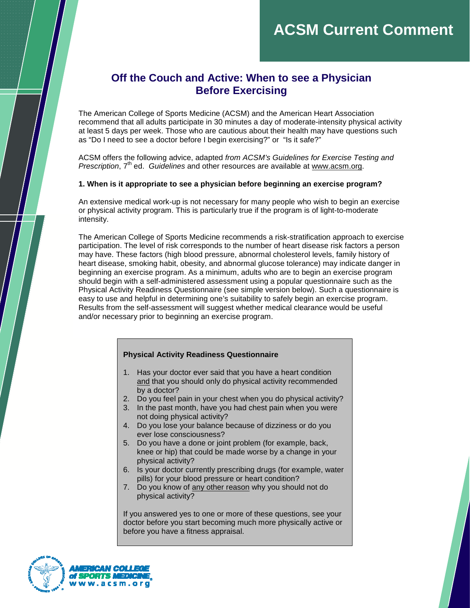# **ACSM Current Comment**

## **Off the Couch and Active: When to see a Physician Before Exercising**

The American College of Sports Medicine (ACSM) and the American Heart Association recommend that all adults participate in 30 minutes a day of moderate-intensity physical activity at least 5 days per week. Those who are cautious about their health may have questions such as "Do I need to see a doctor before I begin exercising?" or "Is it safe?"

ACSM offers the following advice, adapted from ACSM's Guidelines for Exercise Testing and Prescription, 7<sup>th</sup> ed. Guidelines and other resources are available at www.acsm.org.

### **1. When is it appropriate to see a physician before beginning an exercise program?**

An extensive medical work-up is not necessary for many people who wish to begin an exercise or physical activity program. This is particularly true if the program is of light-to-moderate intensity.

The American College of Sports Medicine recommends a risk-stratification approach to exercise participation. The level of risk corresponds to the number of heart disease risk factors a person may have. These factors (high blood pressure, abnormal cholesterol levels, family history of heart disease, smoking habit, obesity, and abnormal glucose tolerance) may indicate danger in beginning an exercise program. As a minimum, adults who are to begin an exercise program should begin with a self-administered assessment using a popular questionnaire such as the Physical Activity Readiness Questionnaire (see simple version below). Such a questionnaire is easy to use and helpful in determining one's suitability to safely begin an exercise program. Results from the self-assessment will suggest whether medical clearance would be useful and/or necessary prior to beginning an exercise program.

### **Physical Activity Readiness Questionnaire**

- 1. Has your doctor ever said that you have a heart condition and that you should only do physical activity recommended by a doctor?
- 2. Do you feel pain in your chest when you do physical activity?
- 3. In the past month, have you had chest pain when you were not doing physical activity?
- 4. Do you lose your balance because of dizziness or do you ever lose consciousness?
- 5. Do you have a done or joint problem (for example, back, knee or hip) that could be made worse by a change in your physical activity?
- 6. Is your doctor currently prescribing drugs (for example, water pills) for your blood pressure or heart condition?
- 7. Do you know of any other reason why you should not do physical activity?

If you answered yes to one or more of these questions, see your doctor before you start becoming much more physically active or before you have a fitness appraisal.